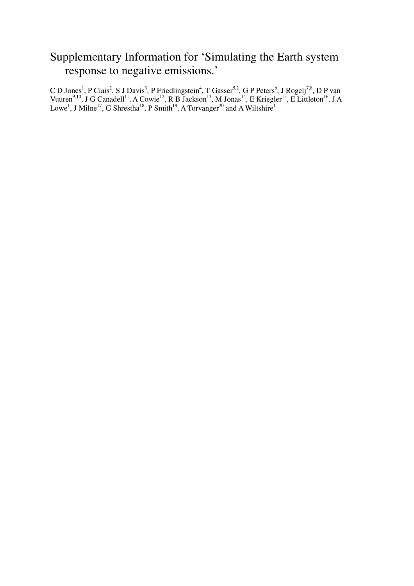# Supplementary Information for 'Simulating the Earth system response to negative emissions.'

C D Jones<sup>1</sup>, P Ciais<sup>2</sup>, S J Davis<sup>3</sup>, P Friedlingstein<sup>4</sup>, T Gasser<sup>5,2</sup>, G P Peters<sup>6</sup>, J Rogelj<sup>7,8</sup>, D P van Vuuren<sup>9,10</sup>, J G Canadell<sup>11</sup>, A Cowie<sup>12</sup>, R B Jackson<sup>13</sup>, M Jonas<sup>14</sup>, E Kriegler<sup>15</sup>, E Littleton<sup>16</sup>, J A Lowe<sup>1</sup>, J Milne<sup>17</sup>, G Shrestha<sup>18</sup>, P Smith<sup>19</sup>, A Torvanger<sup>20</sup> and A Wiltshire<sup>1</sup>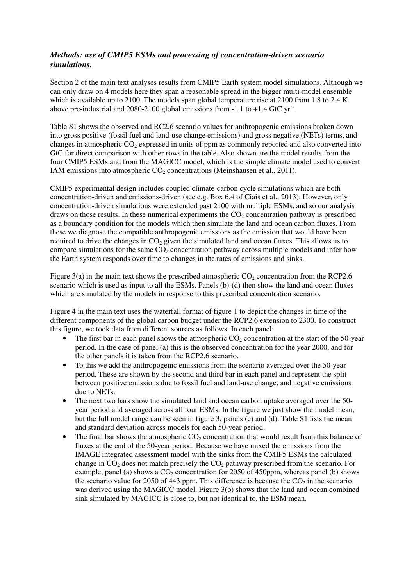## *Methods: use of CMIP5 ESMs and processing of concentration-driven scenario simulations.*

Section 2 of the main text analyses results from CMIP5 Earth system model simulations. Although we can only draw on 4 models here they span a reasonable spread in the bigger multi-model ensemble which is available up to 2100. The models span global temperature rise at 2100 from 1.8 to 2.4 K above pre-industrial and 2080-2100 global emissions from -1.1 to +1.4 GtC  $yr^{-1}$ .

Table S1 shows the observed and RC2.6 scenario values for anthropogenic emissions broken down into gross positive (fossil fuel and land-use change emissions) and gross negative (NETs) terms, and changes in atmospheric CO<sub>2</sub> expressed in units of ppm as commonly reported and also converted into GtC for direct comparison with other rows in the table. Also shown are the model results from the four CMIP5 ESMs and from the MAGICC model, which is the simple climate model used to convert IAM emissions into atmospheric CO<sub>2</sub> concentrations (Meinshausen et al., 2011).

CMIP5 experimental design includes coupled climate-carbon cycle simulations which are both concentration-driven and emissions-driven (see e.g. Box 6.4 of Ciais et al., 2013). However, only concentration-driven simulations were extended past 2100 with multiple ESMs, and so our analysis draws on those results. In these numerical experiments the  $CO<sub>2</sub>$  concentration pathway is prescribed as a boundary condition for the models which then simulate the land and ocean carbon fluxes. From these we diagnose the compatible anthropogenic emissions as the emission that would have been required to drive the changes in  $CO<sub>2</sub>$  given the simulated land and ocean fluxes. This allows us to compare simulations for the same  $CO<sub>2</sub>$  concentration pathway across multiple models and infer how the Earth system responds over time to changes in the rates of emissions and sinks.

Figure 3(a) in the main text shows the prescribed atmospheric  $CO<sub>2</sub>$  concentration from the RCP2.6 scenario which is used as input to all the ESMs. Panels (b)-(d) then show the land and ocean fluxes which are simulated by the models in response to this prescribed concentration scenario.

Figure 4 in the main text uses the waterfall format of figure 1 to depict the changes in time of the different components of the global carbon budget under the RCP2.6 extension to 2300. To construct this figure, we took data from different sources as follows. In each panel:

- The first bar in each panel shows the atmospheric  $CO_2$  concentration at the start of the 50-year period. In the case of panel (a) this is the observed concentration for the year 2000, and for the other panels it is taken from the RCP2.6 scenario.
- To this we add the anthropogenic emissions from the scenario averaged over the 50-year period. These are shown by the second and third bar in each panel and represent the split between positive emissions due to fossil fuel and land-use change, and negative emissions due to NETs.
- The next two bars show the simulated land and ocean carbon uptake averaged over the 50 year period and averaged across all four ESMs. In the figure we just show the model mean, but the full model range can be seen in figure 3, panels (c) and (d). Table S1 lists the mean and standard deviation across models for each 50-year period.
- The final bar shows the atmospheric  $CO_2$  concentration that would result from this balance of fluxes at the end of the 50-year period. Because we have mixed the emissions from the IMAGE integrated assessment model with the sinks from the CMIP5 ESMs the calculated change in  $CO<sub>2</sub>$  does not match precisely the  $CO<sub>2</sub>$  pathway prescribed from the scenario. For example, panel (a) shows a  $CO<sub>2</sub>$  concentration for 2050 of 450ppm, whereas panel (b) shows the scenario value for 2050 of 443 ppm. This difference is because the  $CO<sub>2</sub>$  in the scenario was derived using the MAGICC model. Figure 3(b) shows that the land and ocean combined sink simulated by MAGICC is close to, but not identical to, the ESM mean.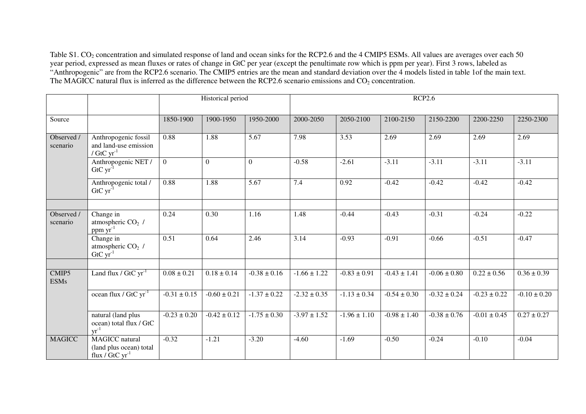Table S1. CO<sub>2</sub> concentration and simulated response of land and ocean sinks for the RCP2.6 and the 4 CMIP5 ESMs. All values are averages over each 50 year period, expressed as mean fluxes or rates of change in GtC per year (except the penultimate row which is ppm per year). First 3 rows, labeled as "Anthropogenic" are from the RCP2.6 scenario. The CMIP5 entries are the mean and standard deviation over the 4 models listed in table 1of the main text. The MAGICC natural flux is inferred as the difference between the RCP2.6 scenario emissions and  $CO<sub>2</sub>$  concentration.

|                        |                                                                              | Historical period |                  |                  | <b>RCP2.6</b>    |                  |                  |                  |                  |                  |
|------------------------|------------------------------------------------------------------------------|-------------------|------------------|------------------|------------------|------------------|------------------|------------------|------------------|------------------|
| Source                 |                                                                              | 1850-1900         | 1900-1950        | 1950-2000        | 2000-2050        | 2050-2100        | 2100-2150        | 2150-2200        | 2200-2250        | 2250-2300        |
| Observed /<br>scenario | Anthropogenic fossil<br>and land-use emission<br>/ $\rm{GtC}$ $\rm{yr}^{-1}$ | 0.88              | 1.88             | 5.67             | 7.98             | 3.53             | 2.69             | 2.69             | 2.69             | 2.69             |
|                        | Anthropogenic NET /<br>$GtCyr^{-1}$                                          | $\overline{0}$    | $\theta$         | $\overline{0}$   | $-0.58$          | $-2.61$          | $-3.11$          | $-3.11$          | $-3.11$          | $-3.11$          |
|                        | Anthropogenic total /<br>$GtCyr^{-1}$                                        | 0.88              | 1.88             | 5.67             | 7.4              | 0.92             | $-0.42$          | $-0.42$          | $-0.42$          | $-0.42$          |
|                        |                                                                              |                   |                  |                  |                  |                  |                  |                  |                  |                  |
| Observed /<br>scenario | Change in<br>atmospheric CO <sub>2</sub> /<br>$ppm \,\text{yr}^{-1}$         | 0.24              | 0.30             | 1.16             | 1.48             | $-0.44$          | $-0.43$          | $-0.31$          | $-0.24$          | $-0.22$          |
|                        | Change in<br>atmospheric CO <sub>2</sub> /<br>$GtCyr^{-1}$                   | 0.51              | 0.64             | 2.46             | 3.14             | $-0.93$          | $-0.91$          | $-0.66$          | $-0.51$          | $-0.47$          |
|                        |                                                                              |                   |                  |                  |                  |                  |                  |                  |                  |                  |
| CMIP5<br><b>ESMs</b>   | Land flux $\sqrt{GtCyr}$ <sup>1</sup>                                        | $0.08 \pm 0.21$   | $0.18 \pm 0.14$  | $-0.38 \pm 0.16$ | $-1.66 \pm 1.22$ | $-0.83 \pm 0.91$ | $-0.43 \pm 1.41$ | $-0.06 \pm 0.80$ | $0.22 \pm 0.56$  | $0.36 \pm 0.39$  |
|                        | ocean flux / $GtCyr^{-1}$                                                    | $-0.31 \pm 0.15$  | $-0.60 \pm 0.21$ | $-1.37 \pm 0.22$ | $-2.32 \pm 0.35$ | $-1.13 \pm 0.34$ | $-0.54 \pm 0.30$ | $-0.32 \pm 0.24$ | $-0.23 \pm 0.22$ | $-0.10 \pm 0.20$ |
|                        | natural (land plus<br>ocean) total flux / GtC<br>$\text{vr}^{-1}$            | $-0.23 \pm 0.20$  | $-0.42 \pm 0.12$ | $-1.75 \pm 0.30$ | $-3.97 \pm 1.52$ | $-1.96 \pm 1.10$ | $-0.98 \pm 1.40$ | $-0.38 \pm 0.76$ | $-0.01 \pm 0.45$ | $0.27 \pm 0.27$  |
| <b>MAGICC</b>          | <b>MAGICC</b> natural<br>(land plus ocean) total<br>flux / $GtCyr^{-1}$      | $-0.32$           | $-1.21$          | $-3.20$          | $-4.60$          | $-1.69$          | $-0.50$          | $-0.24$          | $-0.10$          | $-0.04$          |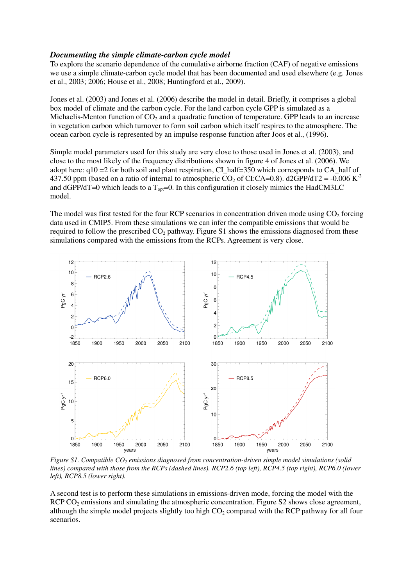#### *Documenting the simple climate-carbon cycle model*

To explore the scenario dependence of the cumulative airborne fraction (CAF) of negative emissions we use a simple climate-carbon cycle model that has been documented and used elsewhere (e.g. Jones et al., 2003; 2006; House et al., 2008; Huntingford et al., 2009).

Jones et al. (2003) and Jones et al. (2006) describe the model in detail. Briefly, it comprises a global box model of climate and the carbon cycle. For the land carbon cycle GPP is simulated as a Michaelis-Menton function of  $CO<sub>2</sub>$  and a quadratic function of temperature. GPP leads to an increase in vegetation carbon which turnover to form soil carbon which itself respires to the atmosphere. The ocean carbon cycle is represented by an impulse response function after Joos et al., (1996).

Simple model parameters used for this study are very close to those used in Jones et al. (2003), and close to the most likely of the frequency distributions shown in figure 4 of Jones et al. (2006). We adopt here:  $q10 = 2$  for both soil and plant respiration, CI\_half=350 which corresponds to CA\_half of 437.50 ppm (based on a ratio of internal to atmospheric  $CO_2$  of CI:CA=0.8). d2GPP/dT2 = -0.006 K<sup>-2</sup> and dGPP/dT=0 which leads to a  $T_{\text{on}}$ =0. In this configuration it closely mimics the HadCM3LC model.

The model was first tested for the four RCP scenarios in concentration driven mode using  $CO<sub>2</sub>$  forcing data used in CMIP5. From these simulations we can infer the compatible emissions that would be required to follow the prescribed  $CO<sub>2</sub>$  pathway. Figure S1 shows the emissions diagnosed from these simulations compared with the emissions from the RCPs. Agreement is very close.



*Figure S1. Compatible CO2 emissions diagnosed from concentration-driven simple model simulations (solid lines) compared with those from the RCPs (dashed lines). RCP2.6 (top left), RCP4.5 (top right), RCP6.0 (lower left), RCP8.5 (lower right).* 

A second test is to perform these simulations in emissions-driven mode, forcing the model with the RCP CO<sub>2</sub> emissions and simulating the atmospheric concentration. Figure S2 shows close agreement, although the simple model projects slightly too high  $CO<sub>2</sub>$  compared with the RCP pathway for all four scenarios.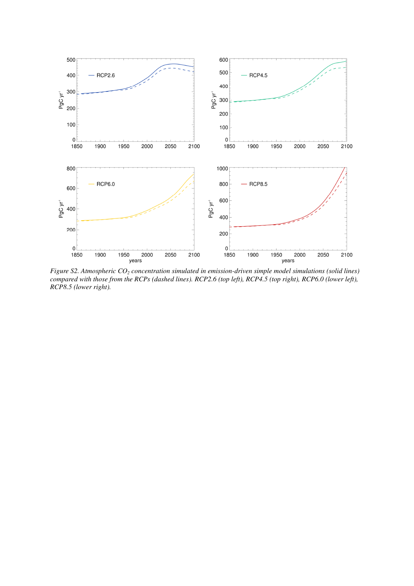

*Figure S2. Atmospheric CO2 concentration simulated in emission-driven simple model simulations (solid lines) compared with those from the RCPs (dashed lines). RCP2.6 (top left), RCP4.5 (top right), RCP6.0 (lower left), RCP8.5 (lower right).*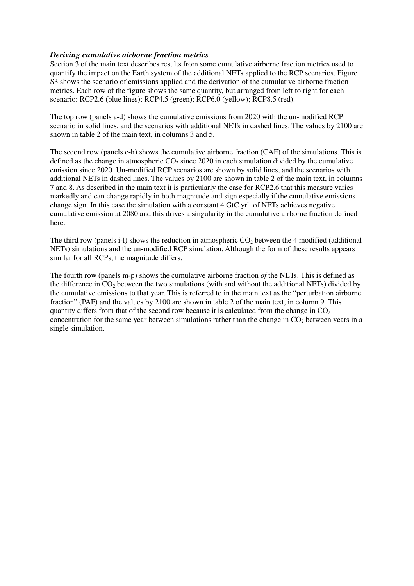### *Deriving cumulative airborne fraction metrics*

Section 3 of the main text describes results from some cumulative airborne fraction metrics used to quantify the impact on the Earth system of the additional NETs applied to the RCP scenarios. Figure S3 shows the scenario of emissions applied and the derivation of the cumulative airborne fraction metrics. Each row of the figure shows the same quantity, but arranged from left to right for each scenario: RCP2.6 (blue lines); RCP4.5 (green); RCP6.0 (yellow); RCP8.5 (red).

The top row (panels a-d) shows the cumulative emissions from 2020 with the un-modified RCP scenario in solid lines, and the scenarios with additional NETs in dashed lines. The values by 2100 are shown in table 2 of the main text, in columns 3 and 5.

The second row (panels e-h) shows the cumulative airborne fraction (CAF) of the simulations. This is defined as the change in atmospheric  $CO<sub>2</sub>$  since 2020 in each simulation divided by the cumulative emission since 2020. Un-modified RCP scenarios are shown by solid lines, and the scenarios with additional NETs in dashed lines. The values by 2100 are shown in table 2 of the main text, in columns 7 and 8. As described in the main text it is particularly the case for RCP2.6 that this measure varies markedly and can change rapidly in both magnitude and sign especially if the cumulative emissions change sign. In this case the simulation with a constant  $4 \text{ GtC yr}^{-1}$  of NETs achieves negative cumulative emission at 2080 and this drives a singularity in the cumulative airborne fraction defined here.

The third row (panels i-l) shows the reduction in atmospheric  $CO<sub>2</sub>$  between the 4 modified (additional NETs) simulations and the un-modified RCP simulation. Although the form of these results appears similar for all RCPs, the magnitude differs.

The fourth row (panels m-p) shows the cumulative airborne fraction *of* the NETs. This is defined as the difference in  $CO_2$  between the two simulations (with and without the additional NETs) divided by the cumulative emissions to that year. This is referred to in the main text as the "perturbation airborne fraction" (PAF) and the values by 2100 are shown in table 2 of the main text, in column 9. This quantity differs from that of the second row because it is calculated from the change in  $CO<sub>2</sub>$ concentration for the same year between simulations rather than the change in  $CO<sub>2</sub>$  between years in a single simulation.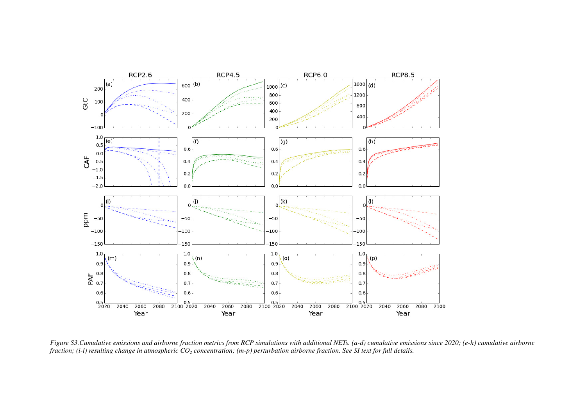

*Figure S3.Cumulative emissions and airborne fraction metrics from RCP simulations with additional NETs. (a-d) cumulative emissions since 2020; (e-h) cumulative airborne fraction; (i-l) resulting change in atmospheric CO2 concentration; (m-p) perturbation airborne fraction. See SI text for full details.*